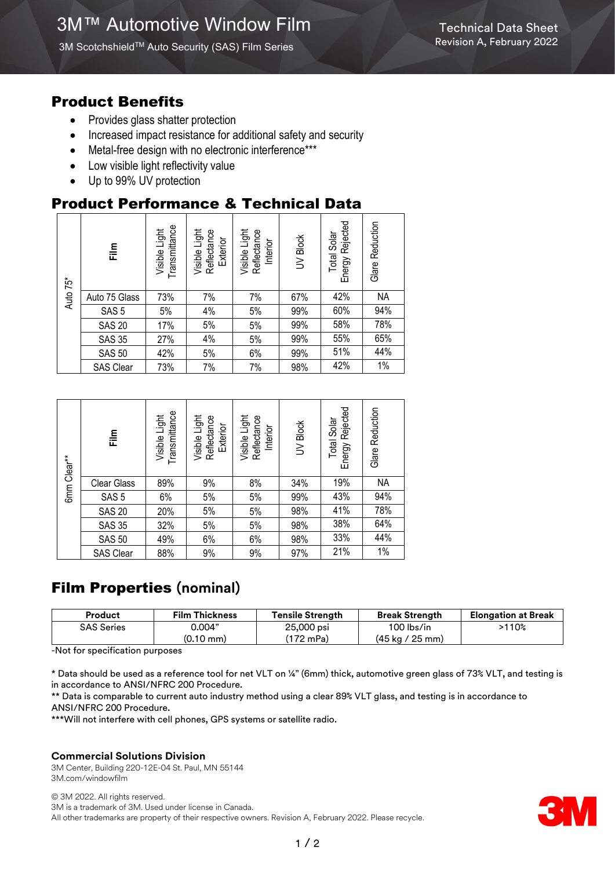3M Scotchshield™ Auto Security (SAS) Film Series

### Product Benefits

- Provides glass shatter protection
- Increased impact resistance for additional safety and security
- Metal-free design with no electronic interference\*\*\*
- Low visible light reflectivity value
- Up to 99% UV protection

# Product Performance & Technical Data

|          | Film             | Transmittance<br>Visible Light | Visible Light<br>Reflectance<br>Exterior | Visible Light<br>Reflectance<br>Interior | UV Block | Energy Rejected<br>Total Solar | Glare Reduction |
|----------|------------------|--------------------------------|------------------------------------------|------------------------------------------|----------|--------------------------------|-----------------|
| Auto 75* | Auto 75 Glass    | 73%                            | 7%                                       | 7%                                       | 67%      | 42%                            | <b>NA</b>       |
|          | SAS <sub>5</sub> | 5%                             | 4%                                       | 5%                                       | 99%      | 60%                            | 94%             |
|          | <b>SAS 20</b>    | 17%                            | 5%                                       | 5%                                       | 99%      | 58%                            | 78%             |
|          | <b>SAS 35</b>    | 27%                            | 4%                                       | 5%                                       | 99%      | 55%                            | 65%             |
|          | <b>SAS 50</b>    | 42%                            | 5%                                       | 6%                                       | 99%      | 51%                            | 44%             |
|          | SAS Clear        | 73%                            | 7%                                       | 7%                                       | 98%      | 42%                            | 1%              |

| 6mm Clear** | م<br>اتا           | Transmittance<br>Visible Light | Visible Light<br>Reflectance<br>Exterior | Visible Light<br>Reflectance<br>Interior | UV Block | Energy Rejected<br>Total Solar | Reduction<br>Glare |
|-------------|--------------------|--------------------------------|------------------------------------------|------------------------------------------|----------|--------------------------------|--------------------|
|             | <b>Clear Glass</b> | 89%                            | 9%                                       | 8%                                       | 34%      | 19%                            | <b>NA</b>          |
|             | SAS <sub>5</sub>   | 6%                             | 5%                                       | 5%                                       | 99%      | 43%                            | 94%                |
|             | <b>SAS 20</b>      | 20%                            | 5%                                       | 5%                                       | 98%      | 41%                            | 78%                |
|             | <b>SAS 35</b>      | 32%                            | 5%                                       | 5%                                       | 98%      | 38%                            | 64%                |
|             | <b>SAS 50</b>      | 49%                            | 6%                                       | 6%                                       | 98%      | 33%                            | 44%                |
|             | SAS Clear          | 88%                            | 9%                                       | 9%                                       | 97%      | 21%                            | 1%                 |

# Film Properties **(nominal)**

| Product           | <b>Film Thickness</b> | Tensile Strength | <b>Break Strength</b>             | <b>Elongation at Break</b> |
|-------------------|-----------------------|------------------|-----------------------------------|----------------------------|
| <b>SAS Series</b> | 0.004"                | 25,000 psi       | 100 lbs/in                        | >110%                      |
|                   | $(0.10 \text{ mm})$   | '172 mPa)        | $(45 \text{ kg} / 25 \text{ mm})$ |                            |
| <br>.             |                       |                  |                                   |                            |

-Not for specification purposes

\* Data should be used as a reference tool for net VLT on ¼" (6mm) thick, automotive green glass of 73% VLT, and testing is in accordance to ANSI/NFRC 200 Procedure.

\*\* Data is comparable to current auto industry method using a clear 89% VLT glass, and testing is in accordance to ANSI/NFRC 200 Procedure.

\*\*\*Will not interfere with cell phones, GPS systems or satellite radio.

#### **Commercial Solutions Division**

3M Center, Building 220-12E-04 St. Paul, MN 55144 3M.com/windowfilm

© 3M 2022. All rights reserved. 3M is a trademark of 3M. Used under license in Canada. All other trademarks are property of their respective owners. Revision A, February 2022. Please recycle.